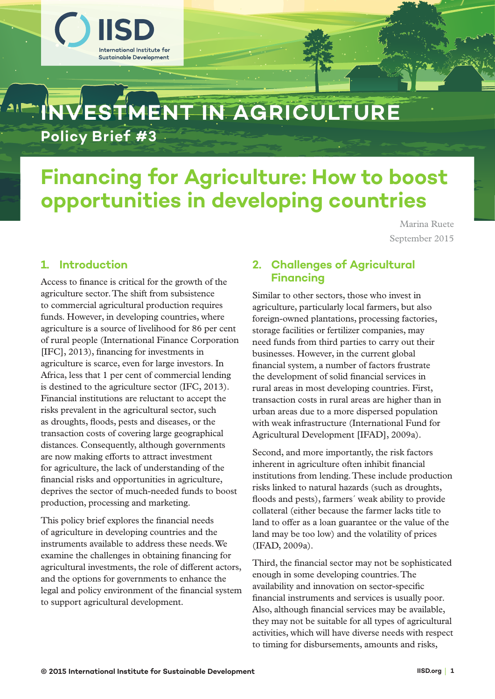

# **Financing for Agriculture: How to boost opportunities in developing countries**

Marina Ruete September 2015

# **1. Introduction**

Access to finance is critical for the growth of the agriculture sector. The shift from subsistence to commercial agricultural production requires funds. However, in developing countries, where agriculture is a source of livelihood for 86 per cent of rural people (International Finance Corporation [IFC], 2013), financing for investments in agriculture is scarce, even for large investors. In Africa, less that 1 per cent of commercial lending is destined to the agriculture sector (IFC, 2013). Financial institutions are reluctant to accept the risks prevalent in the agricultural sector, such as droughts, floods, pests and diseases, or the transaction costs of covering large geographical distances. Consequently, although governments are now making efforts to attract investment for agriculture, the lack of understanding of the financial risks and opportunities in agriculture, deprives the sector of much-needed funds to boost production, processing and marketing.

This policy brief explores the financial needs of agriculture in developing countries and the instruments available to address these needs. We examine the challenges in obtaining financing for agricultural investments, the role of different actors, and the options for governments to enhance the legal and policy environment of the financial system to support agricultural development.

# **2. Challenges of Agricultural Financing**

Similar to other sectors, those who invest in agriculture, particularly local farmers, but also foreign-owned plantations, processing factories, storage facilities or fertilizer companies, may need funds from third parties to carry out their businesses. However, in the current global financial system, a number of factors frustrate the development of solid financial services in rural areas in most developing countries. First, transaction costs in rural areas are higher than in urban areas due to a more dispersed population with weak infrastructure (International Fund for Agricultural Development [IFAD], 2009a).

Second, and more importantly, the risk factors inherent in agriculture often inhibit financial institutions from lending. These include production risks linked to natural hazards (such as droughts, floods and pests), farmers´ weak ability to provide collateral (either because the farmer lacks title to land to offer as a loan guarantee or the value of the land may be too low) and the volatility of prices (IFAD, 2009a).

Third, the financial sector may not be sophisticated enough in some developing countries. The availability and innovation on sector-specific financial instruments and services is usually poor. Also, although financial services may be available, they may not be suitable for all types of agricultural activities, which will have diverse needs with respect to timing for disbursements, amounts and risks,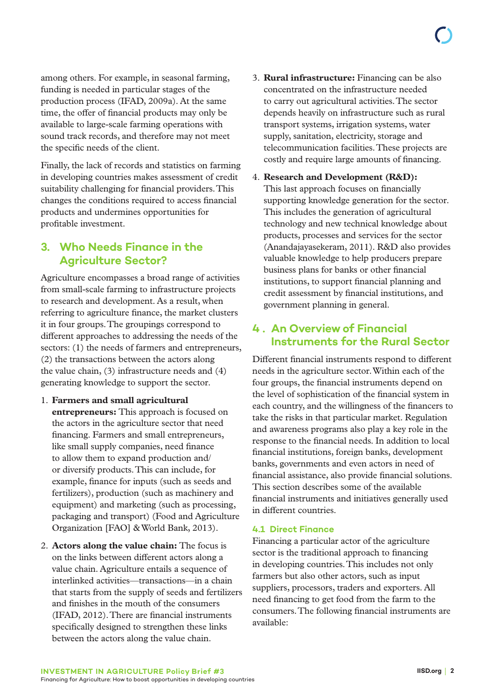among others. For example, in seasonal farming, funding is needed in particular stages of the production process (IFAD, 2009a). At the same time, the offer of financial products may only be available to large-scale farming operations with sound track records, and therefore may not meet the specific needs of the client.

Finally, the lack of records and statistics on farming in developing countries makes assessment of credit suitability challenging for financial providers. This changes the conditions required to access financial products and undermines opportunities for profitable investment.

# **3. Who Needs Finance in the Agriculture Sector?**

Agriculture encompasses a broad range of activities from small-scale farming to infrastructure projects to research and development. As a result, when referring to agriculture finance, the market clusters it in four groups. The groupings correspond to different approaches to addressing the needs of the sectors: (1) the needs of farmers and entrepreneurs, (2) the transactions between the actors along the value chain, (3) infrastructure needs and (4) generating knowledge to support the sector.

- 1. **Farmers and small agricultural entrepreneurs:** This approach is focused on the actors in the agriculture sector that need financing. Farmers and small entrepreneurs, like small supply companies, need finance to allow them to expand production and/ or diversify products. This can include, for example, finance for inputs (such as seeds and fertilizers), production (such as machinery and equipment) and marketing (such as processing, packaging and transport) (Food and Agriculture Organization [FAO] & World Bank, 2013).
- 2. **Actors along the value chain:** The focus is on the links between different actors along a value chain. Agriculture entails a sequence of interlinked activities—transactions—in a chain that starts from the supply of seeds and fertilizers and finishes in the mouth of the consumers (IFAD, 2012). There are financial instruments specifically designed to strengthen these links between the actors along the value chain.
- 3. **Rural infrastructure:** Financing can be also concentrated on the infrastructure needed to carry out agricultural activities. The sector depends heavily on infrastructure such as rural transport systems, irrigation systems, water supply, sanitation, electricity, storage and telecommunication facilities. These projects are costly and require large amounts of financing.
- 4. **Research and Development (R&D):** This last approach focuses on financially supporting knowledge generation for the sector. This includes the generation of agricultural technology and new technical knowledge about products, processes and services for the sector (Anandajayasekeram, 2011). R&D also provides valuable knowledge to help producers prepare business plans for banks or other financial institutions, to support financial planning and credit assessment by financial institutions, and government planning in general.

# **4 . An Overview of Financial Instruments for the Rural Sector**

Different financial instruments respond to different needs in the agriculture sector. Within each of the four groups, the financial instruments depend on the level of sophistication of the financial system in each country, and the willingness of the financers to take the risks in that particular market. Regulation and awareness programs also play a key role in the response to the financial needs. In addition to local financial institutions, foreign banks, development banks, governments and even actors in need of financial assistance, also provide financial solutions. This section describes some of the available financial instruments and initiatives generally used in different countries.

# **4.1 Direct Finance**

Financing a particular actor of the agriculture sector is the traditional approach to financing in developing countries. This includes not only farmers but also other actors, such as input suppliers, processors, traders and exporters. All need financing to get food from the farm to the consumers. The following financial instruments are available: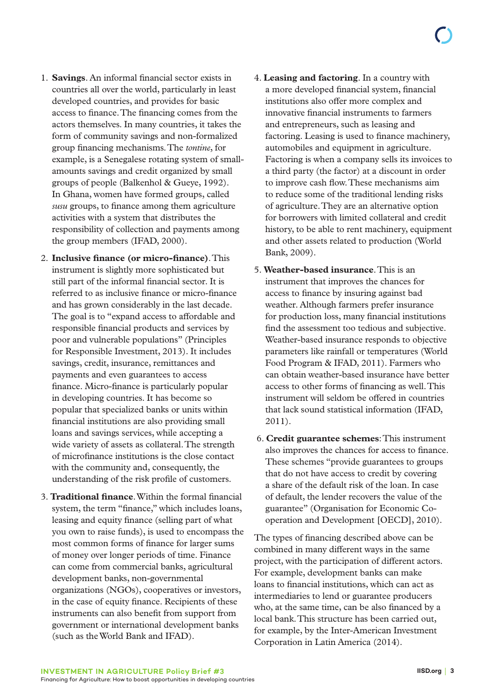- 1. **Savings**. An informal financial sector exists in countries all over the world, particularly in least developed countries, and provides for basic access to finance. The financing comes from the actors themselves. In many countries, it takes the form of community savings and non-formalized group financing mechanisms. The *tontine*, for example, is a Senegalese rotating system of smallamounts savings and credit organized by small groups of people (Balkenhol & Gueye, 1992). In Ghana, women have formed groups, called *susu* groups, to finance among them agriculture activities with a system that distributes the responsibility of collection and payments among the group members (IFAD, 2000).
- 2. **Inclusive finance (or micro-finance)**. This instrument is slightly more sophisticated but still part of the informal financial sector. It is referred to as inclusive finance or micro-finance and has grown considerably in the last decade. The goal is to "expand access to affordable and responsible financial products and services by poor and vulnerable populations" (Principles for Responsible Investment, 2013). It includes savings, credit, insurance, remittances and payments and even guarantees to access finance. Micro-finance is particularly popular in developing countries. It has become so popular that specialized banks or units within financial institutions are also providing small loans and savings services, while accepting a wide variety of assets as collateral. The strength of microfinance institutions is the close contact with the community and, consequently, the understanding of the risk profile of customers.
- 3. **Traditional finance**. Within the formal financial system, the term "finance," which includes loans, leasing and equity finance (selling part of what you own to raise funds), is used to encompass the most common forms of finance for larger sums of money over longer periods of time. Finance can come from commercial banks, agricultural development banks, non-governmental organizations (NGOs), cooperatives or investors, in the case of equity finance. Recipients of these instruments can also benefit from support from government or international development banks (such as the World Bank and IFAD).
- 4. **Leasing and factoring**. In a country with a more developed financial system, financial institutions also offer more complex and innovative financial instruments to farmers and entrepreneurs, such as leasing and factoring. Leasing is used to finance machinery, automobiles and equipment in agriculture. Factoring is when a company sells its invoices to a third party (the factor) at a discount in order to improve cash flow. These mechanisms aim to reduce some of the traditional lending risks of agriculture. They are an alternative option for borrowers with limited collateral and credit history, to be able to rent machinery, equipment and other assets related to production (World Bank, 2009).
- 5. **Weather-based insurance**. This is an instrument that improves the chances for access to finance by insuring against bad weather. Although farmers prefer insurance for production loss, many financial institutions find the assessment too tedious and subjective. Weather-based insurance responds to objective parameters like rainfall or temperatures (World Food Program & IFAD, 2011). Farmers who can obtain weather-based insurance have better access to other forms of financing as well. This instrument will seldom be offered in countries that lack sound statistical information (IFAD, 2011).
- 6. **Credit guarantee schemes**: This instrument also improves the chances for access to finance. These schemes "provide guarantees to groups that do not have access to credit by covering a share of the default risk of the loan. In case of default, the lender recovers the value of the guarantee" (Organisation for Economic Cooperation and Development [OECD], 2010).

The types of financing described above can be combined in many different ways in the same project, with the participation of different actors. For example, development banks can make loans to financial institutions, which can act as intermediaries to lend or guarantee producers who, at the same time, can be also financed by a local bank. This structure has been carried out, for example, by the Inter-American Investment Corporation in Latin America (2014).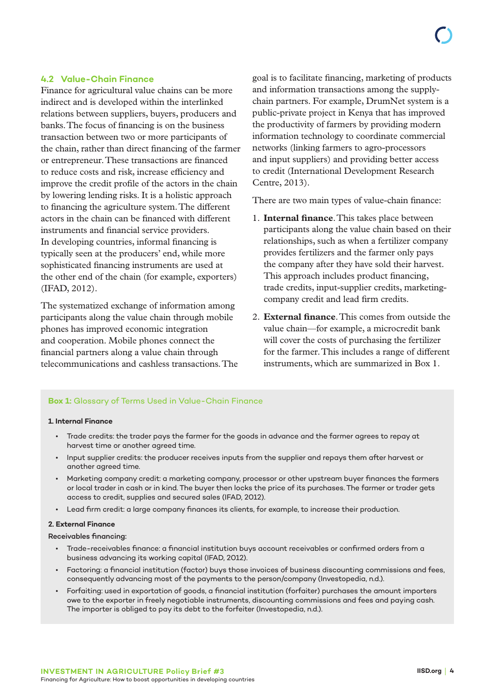### **4.2 Value-Chain Finance**

Finance for agricultural value chains can be more indirect and is developed within the interlinked relations between suppliers, buyers, producers and banks. The focus of financing is on the business transaction between two or more participants of the chain, rather than direct financing of the farmer or entrepreneur. These transactions are financed to reduce costs and risk, increase efficiency and improve the credit profile of the actors in the chain by lowering lending risks. It is a holistic approach to financing the agriculture system. The different actors in the chain can be financed with different instruments and financial service providers. In developing countries, informal financing is typically seen at the producers' end, while more sophisticated financing instruments are used at the other end of the chain (for example, exporters) (IFAD, 2012).

The systematized exchange of information among participants along the value chain through mobile phones has improved economic integration and cooperation. Mobile phones connect the financial partners along a value chain through telecommunications and cashless transactions. The goal is to facilitate financing, marketing of products and information transactions among the supplychain partners. For example, DrumNet system is a public-private project in Kenya that has improved the productivity of farmers by providing modern information technology to coordinate commercial networks (linking farmers to agro-processors and input suppliers) and providing better access to credit (International Development Research Centre, 2013).

There are two main types of value-chain finance:

- 1. **Internal finance**. This takes place between participants along the value chain based on their relationships, such as when a fertilizer company provides fertilizers and the farmer only pays the company after they have sold their harvest. This approach includes product financing, trade credits, input-supplier credits, marketingcompany credit and lead firm credits.
- 2. **External finance**. This comes from outside the value chain—for example, a microcredit bank will cover the costs of purchasing the fertilizer for the farmer. This includes a range of different instruments, which are summarized in Box 1.

# **Box 1:** Glossary of Terms Used in Value-Chain Finance

### **1. Internal Finance**

- Trade credits: the trader pays the farmer for the goods in advance and the farmer agrees to repay at harvest time or another agreed time.
- Input supplier credits: the producer receives inputs from the supplier and repays them after harvest or another agreed time.
- Marketing company credit: a marketing company, processor or other upstream buyer finances the farmers or local trader in cash or in kind. The buyer then locks the price of its purchases. The farmer or trader gets access to credit, supplies and secured sales (IFAD, 2012).
- Lead firm credit: a large company finances its clients, for example, to increase their production.

### **2. External Finance**

Receivables financing:

- Trade-receivables finance: a financial institution buys account receivables or confirmed orders from a business advancing its working capital (IFAD, 2012).
- Factoring: a financial institution (factor) buys those invoices of business discounting commissions and fees, consequently advancing most of the payments to the person/company (Investopedia, n.d.).
- Forfaiting: used in exportation of goods, a financial institution (forfaiter) purchases the amount importers owe to the exporter in freely negotiable instruments, discounting commissions and fees and paying cash. The importer is obliged to pay its debt to the forfeiter (Investopedia, n.d.).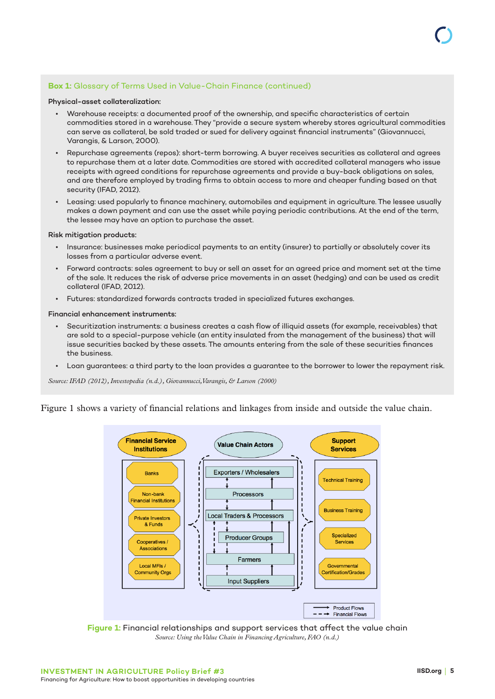### **Box 1:** Glossary of Terms Used in Value-Chain Finance (continued)

#### Physical-asset collateralization:

- Warehouse receipts: a documented proof of the ownership, and specific characteristics of certain commodities stored in a warehouse. They "provide a secure system whereby stores agricultural commodities can serve as collateral, be sold traded or sued for delivery against financial instruments" (Giovannucci, Varangis, & Larson, 2000).
- Repurchase agreements (repos): short-term borrowing. A buyer receives securities as collateral and agrees to repurchase them at a later date. Commodities are stored with accredited collateral managers who issue receipts with agreed conditions for repurchase agreements and provide a buy-back obligations on sales, and are therefore employed by trading firms to obtain access to more and cheaper funding based on that security (IFAD, 2012).
- Leasing: used popularly to finance machinery, automobiles and equipment in agriculture. The lessee usually makes a down payment and can use the asset while paying periodic contributions. At the end of the term, the lessee may have an option to purchase the asset.

#### Risk mitigation products:

- Insurance: businesses make periodical payments to an entity (insurer) to partially or absolutely cover its losses from a particular adverse event.
- Forward contracts: sales agreement to buy or sell an asset for an agreed price and moment set at the time of the sale. It reduces the risk of adverse price movements in an asset (hedging) and can be used as credit collateral (IFAD, 2012).
- Futures: standardized forwards contracts traded in specialized futures exchanges.

#### Financial enhancement instruments:

- Securitization instruments: a business creates a cash flow of illiquid assets (for example, receivables) that are sold to a special-purpose vehicle (an entity insulated from the management of the business) that will issue securities backed by these assets. The amounts entering from the sale of these securities finances the business.
- Loan guarantees: a third party to the loan provides a guarantee to the borrower to lower the repayment risk.

*Source: IFAD (2012), Investopedia (n.d.), Giovannucci, Varangis, & Larson (2000)*

Figure 1 shows a variety of financial relations and linkages from inside and outside the value chain.



**Figure 1:** Financial relationships and support services that affect the value chain *Source: Using the Value Chain in Financing Agriculture, FAO (n.d.)*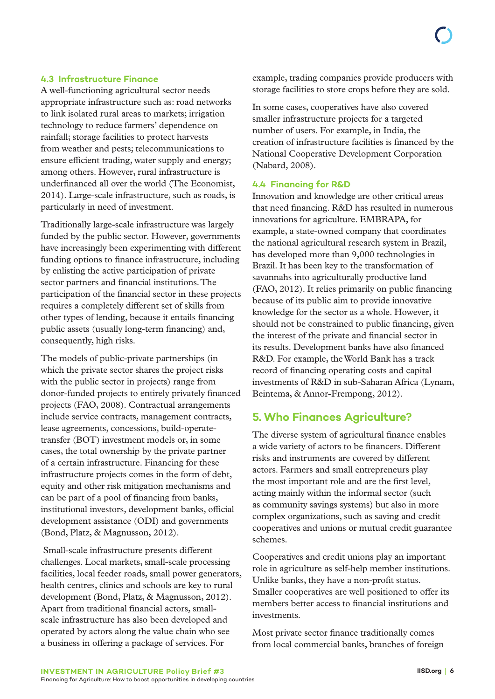### **4.3 Infrastructure Finance**

A well-functioning agricultural sector needs appropriate infrastructure such as: road networks to link isolated rural areas to markets; irrigation technology to reduce farmers' dependence on rainfall; storage facilities to protect harvests from weather and pests; telecommunications to ensure efficient trading, water supply and energy; among others. However, rural infrastructure is underfinanced all over the world (The Economist, 2014). Large-scale infrastructure, such as roads, is particularly in need of investment.

Traditionally large-scale infrastructure was largely funded by the public sector. However, governments have increasingly been experimenting with different funding options to finance infrastructure, including by enlisting the active participation of private sector partners and financial institutions. The participation of the financial sector in these projects requires a completely different set of skills from other types of lending, because it entails financing public assets (usually long-term financing) and, consequently, high risks.

The models of public-private partnerships (in which the private sector shares the project risks with the public sector in projects) range from donor-funded projects to entirely privately financed projects (FAO, 2008). Contractual arrangements include service contracts, management contracts, lease agreements, concessions, build-operatetransfer (BOT) investment models or, in some cases, the total ownership by the private partner of a certain infrastructure. Financing for these infrastructure projects comes in the form of debt, equity and other risk mitigation mechanisms and can be part of a pool of financing from banks, institutional investors, development banks, official development assistance (ODI) and governments (Bond, Platz, & Magnusson, 2012).

 Small-scale infrastructure presents different challenges. Local markets, small-scale processing facilities, local feeder roads, small power generators, health centres, clinics and schools are key to rural development (Bond, Platz, & Magnusson, 2012). Apart from traditional financial actors, smallscale infrastructure has also been developed and operated by actors along the value chain who see a business in offering a package of services. For

example, trading companies provide producers with storage facilities to store crops before they are sold.

In some cases, cooperatives have also covered smaller infrastructure projects for a targeted number of users. For example, in India, the creation of infrastructure facilities is financed by the National Cooperative Development Corporation (Nabard, 2008).

### **4.4 Financing for R&D**

Innovation and knowledge are other critical areas that need financing. R&D has resulted in numerous innovations for agriculture. EMBRAPA, for example, a state-owned company that coordinates the national agricultural research system in Brazil, has developed more than 9,000 technologies in Brazil. It has been key to the transformation of savannahs into agriculturally productive land (FAO, 2012). It relies primarily on public financing because of its public aim to provide innovative knowledge for the sector as a whole. However, it should not be constrained to public financing, given the interest of the private and financial sector in its results. Development banks have also financed R&D. For example, the World Bank has a track record of financing operating costs and capital investments of R&D in sub-Saharan Africa (Lynam, Beintema, & Annor-Frempong, 2012).

# **5. Who Finances Agriculture?**

The diverse system of agricultural finance enables a wide variety of actors to be financers. Different risks and instruments are covered by different actors. Farmers and small entrepreneurs play the most important role and are the first level, acting mainly within the informal sector (such as community savings systems) but also in more complex organizations, such as saving and credit cooperatives and unions or mutual credit guarantee schemes.

Cooperatives and credit unions play an important role in agriculture as self-help member institutions. Unlike banks, they have a non-profit status. Smaller cooperatives are well positioned to offer its members better access to financial institutions and investments.

Most private sector finance traditionally comes from local commercial banks, branches of foreign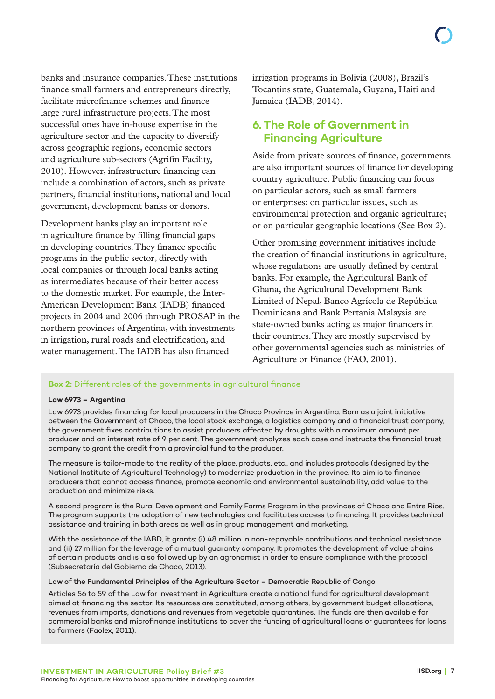banks and insurance companies. These institutions finance small farmers and entrepreneurs directly, facilitate microfinance schemes and finance large rural infrastructure projects. The most successful ones have in-house expertise in the agriculture sector and the capacity to diversify across geographic regions, economic sectors and agriculture sub-sectors (Agrifin Facility, 2010). However, infrastructure financing can include a combination of actors, such as private partners, financial institutions, national and local government, development banks or donors.

Development banks play an important role in agriculture finance by filling financial gaps in developing countries. They finance specific programs in the public sector, directly with local companies or through local banks acting as intermediates because of their better access to the domestic market. For example, the Inter-American Development Bank (IADB) financed projects in 2004 and 2006 through PROSAP in the northern provinces of Argentina, with investments in irrigation, rural roads and electrification, and water management. The IADB has also financed

irrigation programs in Bolivia (2008), Brazil's Tocantins state, Guatemala, Guyana, Haiti and Jamaica (IADB, 2014).

# **6. The Role of Government in Financing Agriculture**

Aside from private sources of finance, governments are also important sources of finance for developing country agriculture. Public financing can focus on particular actors, such as small farmers or enterprises; on particular issues, such as environmental protection and organic agriculture; or on particular geographic locations (See Box 2).

Other promising government initiatives include the creation of financial institutions in agriculture, whose regulations are usually defined by central banks. For example, the Agricultural Bank of Ghana, the Agricultural Development Bank Limited of Nepal, Banco Agrícola de República Dominicana and Bank Pertania Malaysia are state-owned banks acting as major financers in their countries. They are mostly supervised by other governmental agencies such as ministries of Agriculture or Finance (FAO, 2001).

### **Box 2:** Different roles of the governments in agricultural finance

### **Law 6973 – Argentina**

Law 6973 provides financing for local producers in the Chaco Province in Argentina. Born as a joint initiative between the Government of Chaco, the local stock exchange, a logistics company and a financial trust company, the government fixes contributions to assist producers affected by droughts with a maximum amount per producer and an interest rate of 9 per cent. The government analyzes each case and instructs the financial trust company to grant the credit from a provincial fund to the producer.

The measure is tailor-made to the reality of the place, products, etc., and includes protocols (designed by the National Institute of Agricultural Technology) to modernize production in the province. Its aim is to finance producers that cannot access finance, promote economic and environmental sustainability, add value to the production and minimize risks.

A second program is the Rural Development and Family Farms Program in the provinces of Chaco and Entre Ríos. The program supports the adoption of new technologies and facilitates access to financing. It provides technical assistance and training in both areas as well as in group management and marketing.

With the assistance of the IABD, it grants: (i) 48 million in non-repayable contributions and technical assistance and (ii) 27 million for the leverage of a mutual guaranty company. It promotes the development of value chains of certain products and is also followed up by an agronomist in order to ensure compliance with the protocol (Subsecretaría del Gobierno de Chaco, 2013).

Law of the Fundamental Principles of the Agriculture Sector – Democratic Republic of Congo

Articles 56 to 59 of the Law for Investment in Agriculture create a national fund for agricultural development aimed at financing the sector. Its resources are constituted, among others, by government budget allocations, revenues from imports, donations and revenues from vegetable quarantines. The funds are then available for commercial banks and microfinance institutions to cover the funding of agricultural loans or guarantees for loans to farmers (Faolex, 2011).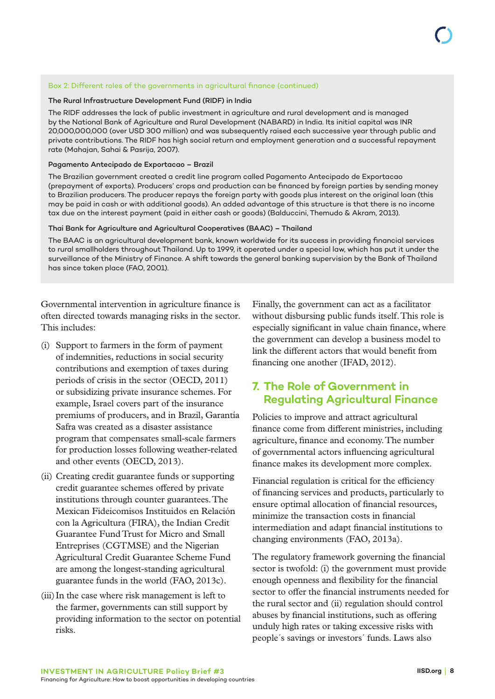### Box 2: Different roles of the governments in agricultural finance (continued)

### The Rural Infrastructure Development Fund (RIDF) in India

The RIDF addresses the lack of public investment in agriculture and rural development and is managed by the National Bank of Agriculture and Rural Development (NABARD) in India. Its initial capital was INR 20,000,000,000 (over USD 300 million) and was subsequently raised each successive year through public and private contributions. The RIDF has high social return and employment generation and a successful repayment rate (Mahajan, Sahai & Pasrija, 2007).

#### Pagamento Antecipado de Exportacao – Brazil

The Brazilian government created a credit line program called Pagamento Antecipado de Exportacao (prepayment of exports). Producers' crops and production can be financed by foreign parties by sending money to Brazilian producers. The producer repays the foreign party with goods plus interest on the original loan (this may be paid in cash or with additional goods). An added advantage of this structure is that there is no income tax due on the interest payment (paid in either cash or goods) (Balduccini, Themudo & Akram, 2013).

### Thai Bank for Agriculture and Agricultural Cooperatives (BAAC) – Thailand

The BAAC is an agricultural development bank, known worldwide for its success in providing financial services to rural smallholders throughout Thailand. Up to 1999, it operated under a special law, which has put it under the surveillance of the Ministry of Finance. A shift towards the general banking supervision by the Bank of Thailand has since taken place (FAO, 2001).

Governmental intervention in agriculture finance is often directed towards managing risks in the sector. This includes:

- (i) Support to farmers in the form of payment of indemnities, reductions in social security contributions and exemption of taxes during periods of crisis in the sector (OECD, 2011) or subsidizing private insurance schemes. For example, Israel covers part of the insurance premiums of producers, and in Brazil, Garantía Safra was created as a disaster assistance program that compensates small-scale farmers for production losses following weather-related and other events (OECD, 2013).
- (ii) Creating credit guarantee funds or supporting credit guarantee schemes offered by private institutions through counter guarantees. The Mexican Fideicomisos Instituidos en Relación con la Agricultura (FIRA), the Indian Credit Guarantee Fund Trust for Micro and Small Entreprises (CGTMSE) and the Nigerian Agricultural Credit Guarantee Scheme Fund are among the longest-standing agricultural guarantee funds in the world (FAO, 2013c).
- (iii)In the case where risk management is left to the farmer, governments can still support by providing information to the sector on potential risks.

Finally, the government can act as a facilitator without disbursing public funds itself. This role is especially significant in value chain finance, where the government can develop a business model to link the different actors that would benefit from financing one another (IFAD, 2012).

# **7. The Role of Government in Regulating Agricultural Finance**

Policies to improve and attract agricultural finance come from different ministries, including agriculture, finance and economy. The number of governmental actors influencing agricultural finance makes its development more complex.

Financial regulation is critical for the efficiency of financing services and products, particularly to ensure optimal allocation of financial resources, minimize the transaction costs in financial intermediation and adapt financial institutions to changing environments (FAO, 2013a).

The regulatory framework governing the financial sector is twofold: (i) the government must provide enough openness and flexibility for the financial sector to offer the financial instruments needed for the rural sector and (ii) regulation should control abuses by financial institutions, such as offering unduly high rates or taking excessive risks with people´s savings or investors´ funds. Laws also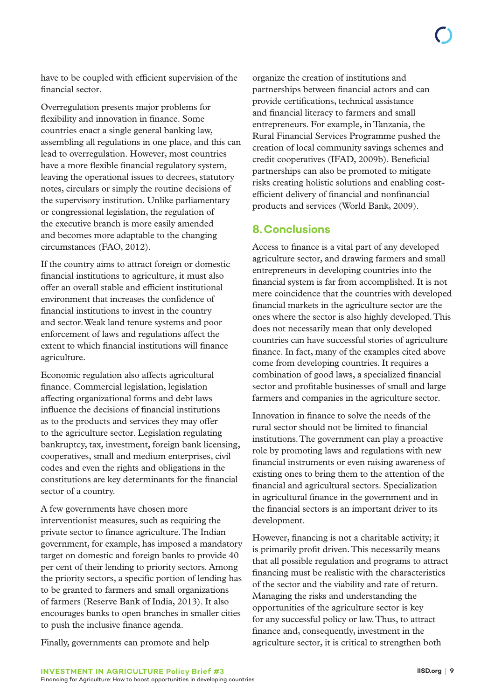have to be coupled with efficient supervision of the financial sector.

Overregulation presents major problems for flexibility and innovation in finance. Some countries enact a single general banking law, assembling all regulations in one place, and this can lead to overregulation. However, most countries have a more flexible financial regulatory system, leaving the operational issues to decrees, statutory notes, circulars or simply the routine decisions of the supervisory institution. Unlike parliamentary or congressional legislation, the regulation of the executive branch is more easily amended and becomes more adaptable to the changing circumstances (FAO, 2012).

If the country aims to attract foreign or domestic financial institutions to agriculture, it must also offer an overall stable and efficient institutional environment that increases the confidence of financial institutions to invest in the country and sector. Weak land tenure systems and poor enforcement of laws and regulations affect the extent to which financial institutions will finance agriculture.

Economic regulation also affects agricultural finance. Commercial legislation, legislation affecting organizational forms and debt laws influence the decisions of financial institutions as to the products and services they may offer to the agriculture sector. Legislation regulating bankruptcy, tax, investment, foreign bank licensing, cooperatives, small and medium enterprises, civil codes and even the rights and obligations in the constitutions are key determinants for the financial sector of a country.

A few governments have chosen more interventionist measures, such as requiring the private sector to finance agriculture. The Indian government, for example, has imposed a mandatory target on domestic and foreign banks to provide 40 per cent of their lending to priority sectors. Among the priority sectors, a specific portion of lending has to be granted to farmers and small organizations of farmers (Reserve Bank of India, 2013). It also encourages banks to open branches in smaller cities to push the inclusive finance agenda.

organize the creation of institutions and partnerships between financial actors and can provide certifications, technical assistance and financial literacy to farmers and small entrepreneurs. For example, in Tanzania, the Rural Financial Services Programme pushed the creation of local community savings schemes and credit cooperatives (IFAD, 2009b). Beneficial partnerships can also be promoted to mitigate risks creating holistic solutions and enabling costefficient delivery of financial and nonfinancial products and services (World Bank, 2009).

# **8.Conclusions**

Access to finance is a vital part of any developed agriculture sector, and drawing farmers and small entrepreneurs in developing countries into the financial system is far from accomplished. It is not mere coincidence that the countries with developed financial markets in the agriculture sector are the ones where the sector is also highly developed. This does not necessarily mean that only developed countries can have successful stories of agriculture finance. In fact, many of the examples cited above come from developing countries. It requires a combination of good laws, a specialized financial sector and profitable businesses of small and large farmers and companies in the agriculture sector.

Innovation in finance to solve the needs of the rural sector should not be limited to financial institutions. The government can play a proactive role by promoting laws and regulations with new financial instruments or even raising awareness of existing ones to bring them to the attention of the financial and agricultural sectors. Specialization in agricultural finance in the government and in the financial sectors is an important driver to its development.

However, financing is not a charitable activity; it is primarily profit driven. This necessarily means that all possible regulation and programs to attract financing must be realistic with the characteristics of the sector and the viability and rate of return. Managing the risks and understanding the opportunities of the agriculture sector is key for any successful policy or law. Thus, to attract finance and, consequently, investment in the agriculture sector, it is critical to strengthen both

Finally, governments can promote and help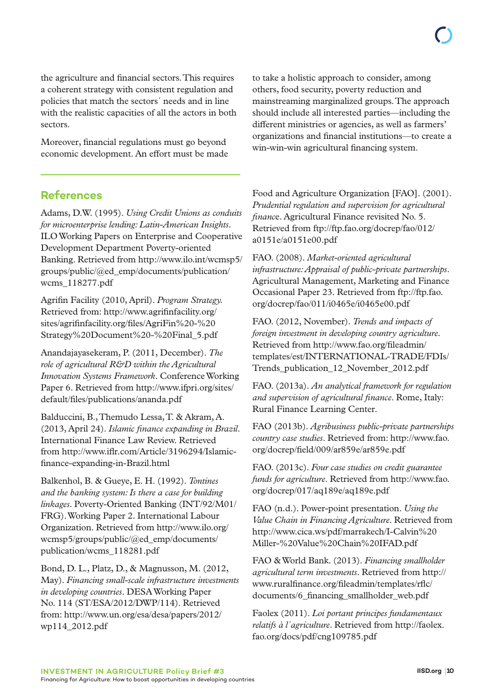the agriculture and financial sectors. This requires a coherent strategy with consistent regulation and policies that match the sectors´ needs and in line with the realistic capacities of all the actors in both sectors.

Moreover, financial regulations must go beyond economic development. An effort must be made

**References**

Adams, D.W. (1995). *Using Credit Unions as conduits for microenterprise lending: Latin-American Insights*. ILO Working Papers on Enterprise and Cooperative Development Department Poverty-oriented Banking. Retrieved from [http://www.ilo.int/wcmsp5/](http://www.ilo.int/wcmsp5/groups/public/@ed_emp/documents/publication/wcms_118277.pdf) [groups/public/@ed\\_emp/documents/publication/](http://www.ilo.int/wcmsp5/groups/public/@ed_emp/documents/publication/wcms_118277.pdf) [wcms\\_118277.pdf](http://www.ilo.int/wcmsp5/groups/public/@ed_emp/documents/publication/wcms_118277.pdf)

Agrifin Facility (2010, April). *Program Strategy.* Retrieved from: [http://www.agrifinfacility.org/](http://www.agrifinfacility.org/sites/agrifinfacility.org/files/AgriFin%20-%20Strategy%20Document%20-%20Final_5.pdf) [sites/agrifinfacility.org/files/AgriFin%20-%20](http://www.agrifinfacility.org/sites/agrifinfacility.org/files/AgriFin%20-%20Strategy%20Document%20-%20Final_5.pdf) [Strategy%20Document%20-%20Final\\_5.pdf](http://www.agrifinfacility.org/sites/agrifinfacility.org/files/AgriFin%20-%20Strategy%20Document%20-%20Final_5.pdf)

Anandajayasekeram, P. (2011, December). *The role of agricultural R&D within the Agricultural Innovation Systems Framework*. Conference Working Paper 6. Retrieved from [http://www.ifpri.org/sites/](http://www.ifpri.org/sites/default/files/publications/ananda.pdf) [default/files/publications/ananda.pdf](http://www.ifpri.org/sites/default/files/publications/ananda.pdf)

Balduccini, B., Themudo Lessa, T. & Akram, A. (2013, April 24). *Islamic finance expanding in Brazil*. International Finance Law Review. Retrieved from [http://www.iflr.com/Article/3196294/Islamic](http://www.iflr.com/Article/3196294/Islamic-finance-expanding-in-Brazil.html)[finance-expanding-in-Brazil.html](http://www.iflr.com/Article/3196294/Islamic-finance-expanding-in-Brazil.html)

Balkenhol, B. & Gueye, E. H. (1992). *Tontines and the banking system: Is there a case for building linkages*. Poverty-Oriented Banking (INT/92/M01/ FRG). Working Paper 2. International Labour Organization. Retrieved from [http://www.ilo.org/](http://www.ilo.org/wcmsp5/groups/public/@ed_emp/documents/publication/wcms_118281.pdf) [wcmsp5/groups/public/@ed\\_emp/documents/](http://www.ilo.org/wcmsp5/groups/public/@ed_emp/documents/publication/wcms_118281.pdf) [publication/wcms\\_118281.pdf](http://www.ilo.org/wcmsp5/groups/public/@ed_emp/documents/publication/wcms_118281.pdf)

Bond, D. L., Platz, D., & Magnusson, M. (2012, May). *Financing small-scale infrastructure investments in developing countries*. DESA Working Paper No. 114 (ST/ESA/2012/DWP/114). Retrieved from: [http://www.un.org/esa/desa/papers/2012/](http://www.un.org/esa/desa/papers/2012/wp114_2012.pdf) [wp114\\_2012.pdf](http://www.un.org/esa/desa/papers/2012/wp114_2012.pdf)

to take a holistic approach to consider, among others, food security, poverty reduction and mainstreaming marginalized groups. The approach should include all interested parties—including the different ministries or agencies, as well as farmers' organizations and financial institutions—to create a win-win-win agricultural financing system.

Food and Agriculture Organization [FAO]. (2001). *Prudential regulation and supervision for agricultural financ*e. Agricultural Finance revisited No. 5. Retrieved from [ftp://ftp.fao.org/docrep/fao/012/](ftp://ftp.fao.org/docrep/fao/012/a0151e/a0151e00.pdf) [a0151e/a0151e00.pdf](ftp://ftp.fao.org/docrep/fao/012/a0151e/a0151e00.pdf)

FAO. (2008). *Market-oriented agricultural infrastructure: Appraisal of public-private partnerships*. Agricultural Management, Marketing and Finance Occasional Paper 23. Retrieved from [ftp://ftp.fao.](ftp://ftp.fao.org/docrep/fao/011/i0465e/i0465e00.pdf) [org/docrep/fao/011/i0465e/i0465e00.pdf](ftp://ftp.fao.org/docrep/fao/011/i0465e/i0465e00.pdf)

FAO. (2012, November). *Trends and impacts of foreign investment in developing country agriculture*. Retrieved from [http://www.fao.org/fileadmin/](http://www.fao.org/fileadmin/templates/est/INTERNATIONAL-TRADE/FDIs/Trends_publication_12_November_2012.pdf) [templates/est/INTERNATIONAL-TRADE/FDIs/](http://www.fao.org/fileadmin/templates/est/INTERNATIONAL-TRADE/FDIs/Trends_publication_12_November_2012.pdf) [Trends\\_publication\\_12\\_November\\_2012.pdf](http://www.fao.org/fileadmin/templates/est/INTERNATIONAL-TRADE/FDIs/Trends_publication_12_November_2012.pdf)

FAO. (2013a). *An analytical framework for regulation and supervision of agricultural finance*. Rome, Italy: Rural Finance Learning Center.

FAO (2013b). *Agribusiness public-private partnerships country case studies*. Retrieved from: [http://www.fao.](http://www.fao.org/docrep/field/009/ar859e/ar859e.pdf) [org/docrep/field/009/ar859e/ar859e.pdf](http://www.fao.org/docrep/field/009/ar859e/ar859e.pdf)

FAO. (2013c). *Four case studies on credit guarantee funds for agriculture*. Retrieved from [http://www.fao.](http://www.fao.org/docrep/017/aq189e/aq189e.pdf) [org/docrep/017/aq189e/aq189e.pdf](http://www.fao.org/docrep/017/aq189e/aq189e.pdf)

FAO (n.d.). Power-point presentation. *Using the Value Chain in Financing Agriculture*. Retrieved from [http://www.cica.ws/pdf/marrakech/I-Calvin%20](http://www.cica.ws/pdf/marrakech/I-Calvin%20Miller-%20Value%20Chain%20IFAD.pdf) [Miller-%20Value%20Chain%20IFAD.pdf](http://www.cica.ws/pdf/marrakech/I-Calvin%20Miller-%20Value%20Chain%20IFAD.pdf)

FAO & World Bank. (2013). *Financing smallholder agricultural term investments*. Retrieved from [http://](http://www.ruralfinance.org/fileadmin/templates/rflc/documents/6_financing_smallholder_web.pdf) [www.ruralfinance.org/fileadmin/templates/rflc/](http://www.ruralfinance.org/fileadmin/templates/rflc/documents/6_financing_smallholder_web.pdf) [documents/6\\_financing\\_smallholder\\_web.pdf](http://www.ruralfinance.org/fileadmin/templates/rflc/documents/6_financing_smallholder_web.pdf)

Faolex (2011). *Loi portant principes fundamentaux relatifs à l´agriculture*. Retrieved from [http://faolex.](http://faolex.fao.org/docs/pdf/cng109785.pdf) [fao.org/docs/pdf/cng109785.pdf](http://faolex.fao.org/docs/pdf/cng109785.pdf)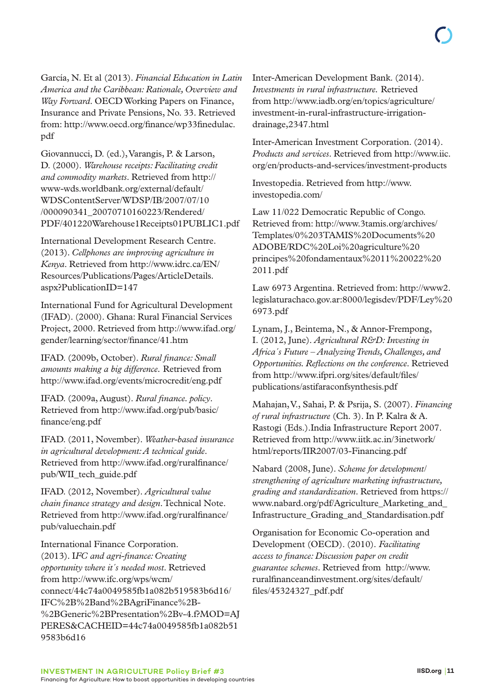García, N. Et al (2013). *Financial Education in Latin America and the Caribbean: Rationale, Overview and Way Forward*. OECD Working Papers on Finance, Insurance and Private Pensions, No. 33. Retrieved from: [http://www.oecd.org/finance/wp33finedulac.](http://www.oecd.org/finance/wp33finedulac.pdf) [pdf](http://www.oecd.org/finance/wp33finedulac.pdf)

Giovannucci, D. (ed.), Varangis, P. & Larson, D. (2000). *Warehouse receipts: Facilitating credit and commodity markets*. Retrieved from [http://](http://www-wds.worldbank.org/external/default/WDSContentServer/WDSP/IB/2007/07/10/000090341_20070710160223/Rendered/PDF/401220Warehouse1Receipts01PUBLIC1.pdf) [www-wds.worldbank.org/external/default/](http://www-wds.worldbank.org/external/default/WDSContentServer/WDSP/IB/2007/07/10/000090341_20070710160223/Rendered/PDF/401220Warehouse1Receipts01PUBLIC1.pdf) [WDSContentServer/WDSP/IB/2007/07/10](http://www-wds.worldbank.org/external/default/WDSContentServer/WDSP/IB/2007/07/10/000090341_20070710160223/Rendered/PDF/401220Warehouse1Receipts01PUBLIC1.pdf) [/000090341\\_20070710160223/Rendered/](http://www-wds.worldbank.org/external/default/WDSContentServer/WDSP/IB/2007/07/10/000090341_20070710160223/Rendered/PDF/401220Warehouse1Receipts01PUBLIC1.pdf) [PDF/401220Warehouse1Receipts01PUBLIC1.pdf](http://www-wds.worldbank.org/external/default/WDSContentServer/WDSP/IB/2007/07/10/000090341_20070710160223/Rendered/PDF/401220Warehouse1Receipts01PUBLIC1.pdf)

International Development Research Centre. (2013). *Cellphones are improving agriculture in Kenya*. Retrieved from [http://www.idrc.ca/EN/](http://www.idrc.ca/EN/Resources/Publications/Pages/ArticleDetails.aspx?PublicationID=147) [Resources/Publications/Pages/ArticleDetails.](http://www.idrc.ca/EN/Resources/Publications/Pages/ArticleDetails.aspx?PublicationID=147) [aspx?PublicationID=147](http://www.idrc.ca/EN/Resources/Publications/Pages/ArticleDetails.aspx?PublicationID=147)

International Fund for Agricultural Development (IFAD). (2000). Ghana: Rural Financial Services Project, 2000. Retrieved from [http://www.ifad.org/](http://www.ifad.org/gender/learning/sector/finance/41.htm) [gender/learning/sector/finance/41.htm](http://www.ifad.org/gender/learning/sector/finance/41.htm)

IFAD. (2009b, October). *Rural finance: Small amounts making a big difference.* Retrieved from <http://www.ifad.org/events/microcredit/eng.pdf>

IFAD. (2009a, August). *Rural finance. policy*. Retrieved from [http://www.ifad.org/pub/basic/](http://www.ifad.org/pub/basic/finance/eng.pdf) [finance/eng.pdf](http://www.ifad.org/pub/basic/finance/eng.pdf)

IFAD. (2011, November). *Weather-based insurance in agricultural development: A technical guide*. Retrieved from [http://www.ifad.org/ruralfinance/](http://www.ifad.org/ruralfinance/pub/WII_tech_guide.pdf) [pub/WII\\_tech\\_guide.pdf](http://www.ifad.org/ruralfinance/pub/WII_tech_guide.pdf)

IFAD. (2012, November). *Agricultural value chain finance strategy and design*. Technical Note. Retrieved from [http://www.ifad.org/ruralfinance/](http://www.ifad.org/ruralfinance/pub/valuechain.pdf) [pub/valuechain.pdf](http://www.ifad.org/ruralfinance/pub/valuechain.pdf)

International Finance Corporation. (2013). I*FC and agri-finance: Creating opportunity where it´s needed most*. Retrieved from [http://www.ifc.org/wps/wcm/](http://www.ifc.org/wps/wcm/connect/44c74a0049585fb1a082b519583b6d16/IFC%2B%2Band%2BAgriFinance%2B-%2BGeneric%2BPresentation%2Bv-4.f?MOD=AJPERES&CACHEID=44c74a0049585fb1a082b519583b6d16) [connect/44c74a0049585fb1a082b519583b6d16/](http://www.ifc.org/wps/wcm/connect/44c74a0049585fb1a082b519583b6d16/IFC%2B%2Band%2BAgriFinance%2B-%2BGeneric%2BPresentation%2Bv-4.f?MOD=AJPERES&CACHEID=44c74a0049585fb1a082b519583b6d16) [IFC%2B%2Band%2BAgriFinance%2B-](http://www.ifc.org/wps/wcm/connect/44c74a0049585fb1a082b519583b6d16/IFC%2B%2Band%2BAgriFinance%2B-%2BGeneric%2BPresentation%2Bv-4.f?MOD=AJPERES&CACHEID=44c74a0049585fb1a082b519583b6d16) [%2BGeneric%2BPresentation%2Bv-4.f?MOD=AJ](http://www.ifc.org/wps/wcm/connect/44c74a0049585fb1a082b519583b6d16/IFC%2B%2Band%2BAgriFinance%2B-%2BGeneric%2BPresentation%2Bv-4.f?MOD=AJPERES&CACHEID=44c74a0049585fb1a082b519583b6d16) [PERES&CACHEID=44c74a0049585fb1a082b51](http://www.ifc.org/wps/wcm/connect/44c74a0049585fb1a082b519583b6d16/IFC%2B%2Band%2BAgriFinance%2B-%2BGeneric%2BPresentation%2Bv-4.f?MOD=AJPERES&CACHEID=44c74a0049585fb1a082b519583b6d16) [9583b6d16](http://www.ifc.org/wps/wcm/connect/44c74a0049585fb1a082b519583b6d16/IFC%2B%2Band%2BAgriFinance%2B-%2BGeneric%2BPresentation%2Bv-4.f?MOD=AJPERES&CACHEID=44c74a0049585fb1a082b519583b6d16)

Inter-American Development Bank. (2014). *Investments in rural infrastructure.* Retrieved from [http://www.iadb.org/en/topics/agriculture/](http://www.iadb.org/en/topics/agriculture/investment-in-rural-infrastructure-irrigation-drainage,2347.html) [investment-in-rural-infrastructure-irrigation](http://www.iadb.org/en/topics/agriculture/investment-in-rural-infrastructure-irrigation-drainage,2347.html)[drainage,2347.html](http://www.iadb.org/en/topics/agriculture/investment-in-rural-infrastructure-irrigation-drainage,2347.html)

Inter-American Investment Corporation. (2014). *Products and services*. Retrieved from [http://www.iic.](http://www.iic.org/en/products-and-services/investment-products) [org/en/products-and-services/investment-products](http://www.iic.org/en/products-and-services/investment-products)

Investopedia. Retrieved from [http://www.](http://www.investopedia.com) [investopedia.com/](http://www.investopedia.com)

Law 11/022 Democratic Republic of Congo. Retrieved from: [http://www.3tamis.org/archives/](http://www.3tamis.org/archives/Templates/0%203TAMIS%20Documents%20ADOBE/RDC%20Loi%20agriculture%20principes%20fondamentaux%2011%20022%202011.pdf) [Templates/0%203TAMIS%20Documents%20](http://www.3tamis.org/archives/Templates/0%203TAMIS%20Documents%20ADOBE/RDC%20Loi%20agriculture%20principes%20fondamentaux%2011%20022%202011.pdf) [ADOBE/RDC%20Loi%20agriculture%20](http://www.3tamis.org/archives/Templates/0%203TAMIS%20Documents%20ADOBE/RDC%20Loi%20agriculture%20principes%20fondamentaux%2011%20022%202011.pdf) [principes%20fondamentaux%2011%20022%20](http://www.3tamis.org/archives/Templates/0%203TAMIS%20Documents%20ADOBE/RDC%20Loi%20agriculture%20principes%20fondamentaux%2011%20022%202011.pdf) [2011.pdf](http://www.3tamis.org/archives/Templates/0%203TAMIS%20Documents%20ADOBE/RDC%20Loi%20agriculture%20principes%20fondamentaux%2011%20022%202011.pdf)

Law 6973 Argentina. Retrieved from: [http://www2.](http://www2.legislaturachaco.gov.ar:8000/legisdev/PDF/Ley%206973.pdf) [legislaturachaco.gov.ar:8000/legisdev/PDF/Ley%20](http://www2.legislaturachaco.gov.ar:8000/legisdev/PDF/Ley%206973.pdf) [6973.pdf](http://www2.legislaturachaco.gov.ar:8000/legisdev/PDF/Ley%206973.pdf)

Lynam, J., Beintema, N., & Annor-Frempong, I. (2012, June). *Agricultural R&D: Investing in Africa´s Future – Analyzing Trends, Challenges, and Opportunities. Reflections on the conference*. Retrieved from [http://www.ifpri.org/sites/default/files/](http://www.ifpri.org/sites/default/files/publications/astifaraconfsynthesis.pdf) [publications/astifaraconfsynthesis.pdf](http://www.ifpri.org/sites/default/files/publications/astifaraconfsynthesis.pdf)

Mahajan, V., Sahai, P. & Psrija, S. (2007). *Financing of rural infrastructure* (Ch. 3). In P. Kalra & A. Rastogi (Eds.).India Infrastructure Report 2007. Retrieved from [http://www.iitk.ac.in/3inetwork/](http://www.iitk.ac.in/3inetwork/html/reports/IIR2007/03-Financing.pdf) [html/reports/IIR2007/03-Financing.pdf](http://www.iitk.ac.in/3inetwork/html/reports/IIR2007/03-Financing.pdf)

Nabard (2008, June). *Scheme for development/ strengthening of agriculture marketing infrastructure, grading and standardization*. Retrieved from [https://](https://www.nabard.org/pdf/Agriculture_Marketing_and_Infrastructure_Grading_and_Standardisation.pdf) [www.nabard.org/pdf/Agriculture\\_Marketing\\_and\\_](https://www.nabard.org/pdf/Agriculture_Marketing_and_Infrastructure_Grading_and_Standardisation.pdf) [Infrastructure\\_Grading\\_and\\_Standardisation.pdf](https://www.nabard.org/pdf/Agriculture_Marketing_and_Infrastructure_Grading_and_Standardisation.pdf)

Organisation for Economic Co-operation and Development (OECD). (2010). *Facilitating access to finance: Discussion paper on credit guarantee schemes*. Retrieved from [http://www.](http://www.ruralfinanceandinvestment.org/sites/default/files/45324327_pdf.pdf) [ruralfinanceandinvestment.org/sites/default/](http://www.ruralfinanceandinvestment.org/sites/default/files/45324327_pdf.pdf) [files/45324327\\_pdf.pdf](http://www.ruralfinanceandinvestment.org/sites/default/files/45324327_pdf.pdf)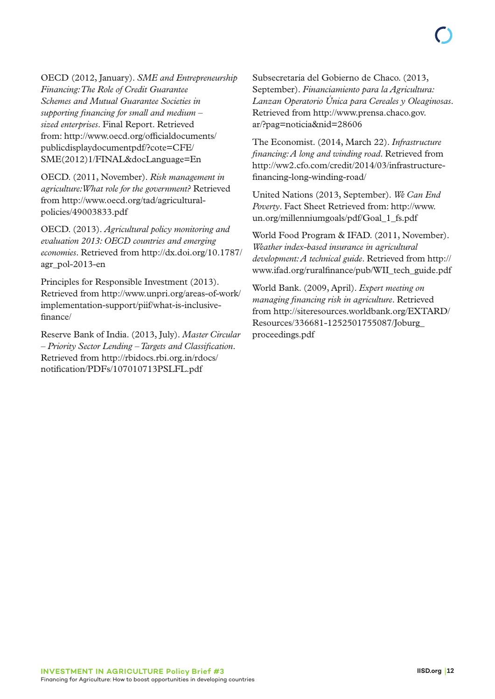OECD (2012, January). *SME and Entrepreneurship Financing: The Role of Credit Guarantee Schemes and Mutual Guarantee Societies in supporting financing for small and medium – sized enterprises*. Final Report. Retrieved from: [http://www.oecd.org/officialdocuments/](http://www.oecd.org/officialdocuments/publicdisplaydocumentpdf/?cote=CFE/SME(2012)1/FINAL&docLanguage=En) [publicdisplaydocumentpdf/?cote=CFE/](http://www.oecd.org/officialdocuments/publicdisplaydocumentpdf/?cote=CFE/SME(2012)1/FINAL&docLanguage=En) [SME\(2012\)1/FINAL&docLanguage=En](http://www.oecd.org/officialdocuments/publicdisplaydocumentpdf/?cote=CFE/SME(2012)1/FINAL&docLanguage=En)

OECD. (2011, November). *Risk management in agriculture: What role for the government?* Retrieved from [http://www.oecd.org/tad/agricultural](http://www.oecd.org/tad/agricultural-policies/49003833.pdf)[policies/49003833.pdf](http://www.oecd.org/tad/agricultural-policies/49003833.pdf)

OECD. (2013). *Agricultural policy monitoring and evaluation 2013: OECD countries and emerging economies*. Retrieved from [http://dx.doi.org/10.1787/](http://dx.doi.org/10.1787/agr_pol-2013-en) [agr\\_pol-2013-en](http://dx.doi.org/10.1787/agr_pol-2013-en)

Principles for Responsible Investment (2013). Retrieved from [http://www.unpri.org/areas-of-work/](http://www.unpri.org/areas-of-work/implementation-support/piif/what-is-inclusive-finance/) [implementation-support/piif/what-is-inclusive](http://www.unpri.org/areas-of-work/implementation-support/piif/what-is-inclusive-finance/)[finance/](http://www.unpri.org/areas-of-work/implementation-support/piif/what-is-inclusive-finance/)

Reserve Bank of India. (2013, July). *Master Circular – Priority Sector Lending – Targets and Classification*. Retrieved from [http://rbidocs.rbi.org.in/rdocs/](http://rbidocs.rbi.org.in/rdocs/notification/PDFs/107010713PSLFL.pdf) [notification/PDFs/107010713PSLFL.pdf](http://rbidocs.rbi.org.in/rdocs/notification/PDFs/107010713PSLFL.pdf)

Subsecretaría del Gobierno de Chaco. (2013, September). *Financiamiento para la Agricultura: Lanzan Operatorio Única para Cereales y Oleaginosas*. Retrieved from [http://www.prensa.chaco.gov.](http://www.prensa.chaco.gov.ar/?pag=noticia&nid=28606) [ar/?pag=noticia&nid=28606](http://www.prensa.chaco.gov.ar/?pag=noticia&nid=28606)

The Economist. (2014, March 22). *Infrastructure financing: A long and winding road*. Retrieved from [http://ww2.cfo.com/credit/2014/03/infrastructure](http://ww2.cfo.com/credit/2014/03/infrastructure-financing-long-winding-road/)[financing-long-winding-road/](http://ww2.cfo.com/credit/2014/03/infrastructure-financing-long-winding-road/)

United Nations (2013, September). *We Can End Poverty*. Fact Sheet Retrieved from: [http://www.](http://www.un.org/millenniumgoals/pdf/Goal_1_fs.pdf) [un.org/millenniumgoals/pdf/Goal\\_1\\_fs.pdf](http://www.un.org/millenniumgoals/pdf/Goal_1_fs.pdf)

World Food Program & IFAD. (2011, November). *Weather index-based insurance in agricultural development: A technical guide*. Retrieved from [http://](http://www.ifad.org/ruralfinance/pub/WII_tech_guide.pdf) [www.ifad.org/ruralfinance/pub/WII\\_tech\\_guide.pdf](http://www.ifad.org/ruralfinance/pub/WII_tech_guide.pdf)

World Bank. (2009, April). *Expert meeting on managing financing risk in agriculture*. Retrieved from [http://siteresources.worldbank.org/EXTARD/](http://siteresources.worldbank.org/EXTARD/Resources/336681-1252501755087/Joburg_proceedings.pdf) [Resources/336681-1252501755087/Joburg\\_](http://siteresources.worldbank.org/EXTARD/Resources/336681-1252501755087/Joburg_proceedings.pdf) [proceedings.pdf](http://siteresources.worldbank.org/EXTARD/Resources/336681-1252501755087/Joburg_proceedings.pdf)